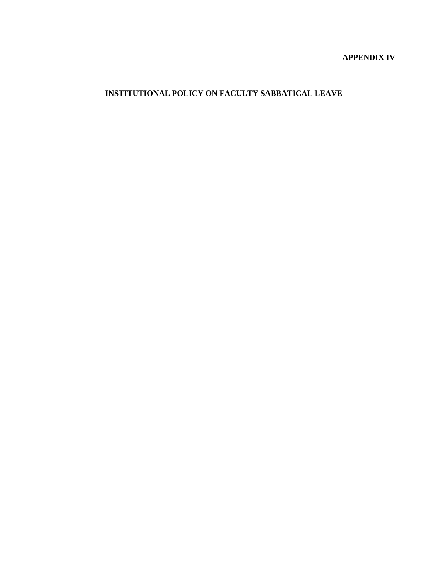# **APPENDIX IV**

# **INSTITUTIONAL POLICY ON FACULTY SABBATICAL LEAVE**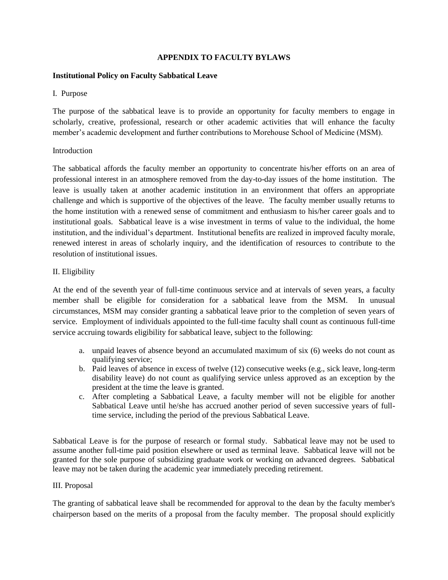## **APPENDIX TO FACULTY BYLAWS**

#### **Institutional Policy on Faculty Sabbatical Leave**

#### I. Purpose

The purpose of the sabbatical leave is to provide an opportunity for faculty members to engage in scholarly, creative, professional, research or other academic activities that will enhance the faculty member's academic development and further contributions to Morehouse School of Medicine (MSM).

#### **Introduction**

The sabbatical affords the faculty member an opportunity to concentrate his/her efforts on an area of professional interest in an atmosphere removed from the day-to-day issues of the home institution. The leave is usually taken at another academic institution in an environment that offers an appropriate challenge and which is supportive of the objectives of the leave. The faculty member usually returns to the home institution with a renewed sense of commitment and enthusiasm to his/her career goals and to institutional goals. Sabbatical leave is a wise investment in terms of value to the individual, the home institution, and the individual's department. Institutional benefits are realized in improved faculty morale, renewed interest in areas of scholarly inquiry, and the identification of resources to contribute to the resolution of institutional issues.

## II. Eligibility

At the end of the seventh year of full-time continuous service and at intervals of seven years, a faculty member shall be eligible for consideration for a sabbatical leave from the MSM. In unusual circumstances, MSM may consider granting a sabbatical leave prior to the completion of seven years of service. Employment of individuals appointed to the full-time faculty shall count as continuous full-time service accruing towards eligibility for sabbatical leave, subject to the following:

- a. unpaid leaves of absence beyond an accumulated maximum of six (6) weeks do not count as qualifying service;
- b. Paid leaves of absence in excess of twelve (12) consecutive weeks (e.g., sick leave, long-term disability leave) do not count as qualifying service unless approved as an exception by the president at the time the leave is granted.
- c. After completing a Sabbatical Leave, a faculty member will not be eligible for another Sabbatical Leave until he/she has accrued another period of seven successive years of fulltime service, including the period of the previous Sabbatical Leave.

Sabbatical Leave is for the purpose of research or formal study. Sabbatical leave may not be used to assume another full-time paid position elsewhere or used as terminal leave. Sabbatical leave will not be granted for the sole purpose of subsidizing graduate work or working on advanced degrees. Sabbatical leave may not be taken during the academic year immediately preceding retirement.

## III. Proposal

The granting of sabbatical leave shall be recommended for approval to the dean by the faculty member's chairperson based on the merits of a proposal from the faculty member. The proposal should explicitly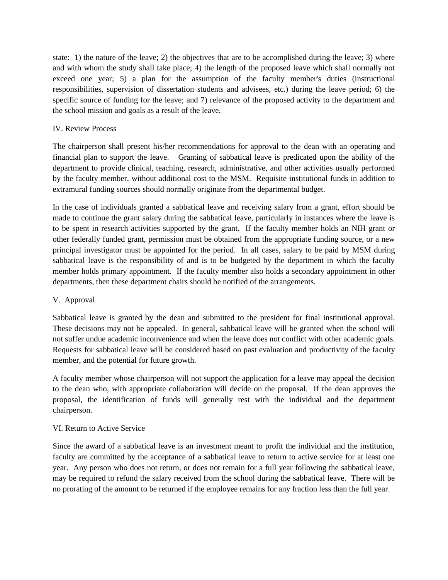state: 1) the nature of the leave; 2) the objectives that are to be accomplished during the leave; 3) where and with whom the study shall take place; 4) the length of the proposed leave which shall normally not exceed one year; 5) a plan for the assumption of the faculty member's duties (instructional responsibilities, supervision of dissertation students and advisees, etc.) during the leave period; 6) the specific source of funding for the leave; and 7) relevance of the proposed activity to the department and the school mission and goals as a result of the leave.

# IV. Review Process

The chairperson shall present his/her recommendations for approval to the dean with an operating and financial plan to support the leave. Granting of sabbatical leave is predicated upon the ability of the department to provide clinical, teaching, research, administrative, and other activities usually performed by the faculty member, without additional cost to the MSM. Requisite institutional funds in addition to extramural funding sources should normally originate from the departmental budget.

In the case of individuals granted a sabbatical leave and receiving salary from a grant, effort should be made to continue the grant salary during the sabbatical leave, particularly in instances where the leave is to be spent in research activities supported by the grant. If the faculty member holds an NIH grant or other federally funded grant, permission must be obtained from the appropriate funding source, or a new principal investigator must be appointed for the period. In all cases, salary to be paid by MSM during sabbatical leave is the responsibility of and is to be budgeted by the department in which the faculty member holds primary appointment. If the faculty member also holds a secondary appointment in other departments, then these department chairs should be notified of the arrangements.

## V. Approval

Sabbatical leave is granted by the dean and submitted to the president for final institutional approval. These decisions may not be appealed. In general, sabbatical leave will be granted when the school will not suffer undue academic inconvenience and when the leave does not conflict with other academic goals. Requests for sabbatical leave will be considered based on past evaluation and productivity of the faculty member, and the potential for future growth.

A faculty member whose chairperson will not support the application for a leave may appeal the decision to the dean who, with appropriate collaboration will decide on the proposal. If the dean approves the proposal, the identification of funds will generally rest with the individual and the department chairperson.

## VI. Return to Active Service

Since the award of a sabbatical leave is an investment meant to profit the individual and the institution, faculty are committed by the acceptance of a sabbatical leave to return to active service for at least one year. Any person who does not return, or does not remain for a full year following the sabbatical leave, may be required to refund the salary received from the school during the sabbatical leave. There will be no prorating of the amount to be returned if the employee remains for any fraction less than the full year.